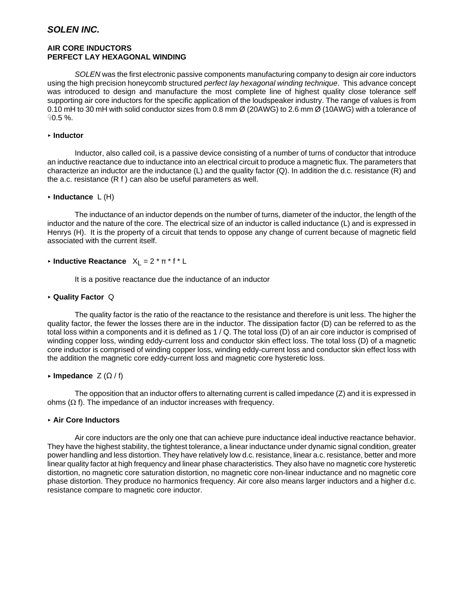# *SOLEN INC.*

# **AIR CORE INDUCTORS PERFECT LAY HEXAGONAL WINDING**

*SOLEN* was the first electronic passive components manufacturing company to design air core inductors using the high precision honeycomb structured *perfect lay hexagonal winding technique*. This advance concept was introduced to design and manufacture the most complete line of highest quality close tolerance self supporting air core inductors for the specific application of the loudspeaker industry. The range of values is from 0.10 mH to 30 mH with solid conductor sizes from 0.8 mm Ø (20AWG) to 2.6 mm Ø (10AWG) with a tolerance of  $90.5 \%$ .

# < **Inductor**

Inductor, also called coil, is a passive device consisting of a number of turns of conductor that introduce an inductive reactance due to inductance into an electrical circuit to produce a magnetic flux. The parameters that characterize an inductor are the inductance (L) and the quality factor (Q). In addition the d.c. resistance (R) and the a.c. resistance (R f ) can also be useful parameters as well.

# < **Inductance** L (H)

The inductance of an inductor depends on the number of turns, diameter of the inductor, the length of the inductor and the nature of the core. The electrical size of an inductor is called inductance (L) and is expressed in Henrys (H). It is the property of a circuit that tends to oppose any change of current because of magnetic field associated with the current itself.

# $\triangleright$  **Inductive Reactance**  $X_L = 2 \cdot \pi \cdot f \cdot L$

It is a positive reactance due the inductance of an inductor

# < **Quality Factor** Q

 The quality factor is the ratio of the reactance to the resistance and therefore is unit less. The higher the quality factor, the fewer the losses there are in the inductor. The dissipation factor (D) can be referred to as the total loss within a components and it is defined as 1 / Q. The total loss (D) of an air core inductor is comprised of winding copper loss, winding eddy-current loss and conductor skin effect loss. The total loss (D) of a magnetic core inductor is comprised of winding copper loss, winding eddy-current loss and conductor skin effect loss with the addition the magnetic core eddy-current loss and magnetic core hysteretic loss.

# $\triangleright$  Impedance  $Z(\Omega / f)$

 The opposition that an inductor offers to alternating current is called impedance (Z) and it is expressed in ohms  $(Ω$  f). The impedance of an inductor increases with frequency.

# < **Air Core Inductors**

Air core inductors are the only one that can achieve pure inductance ideal inductive reactance behavior. They have the highest stability, the tightest tolerance, a linear inductance under dynamic signal condition, greater power handling and less distortion. They have relatively low d.c. resistance, linear a.c. resistance, better and more linear quality factor at high frequency and linear phase characteristics. They also have no magnetic core hysteretic distortion, no magnetic core saturation distortion, no magnetic core non-linear inductance and no magnetic core phase distortion. They produce no harmonics frequency. Air core also means larger inductors and a higher d.c. resistance compare to magnetic core inductor.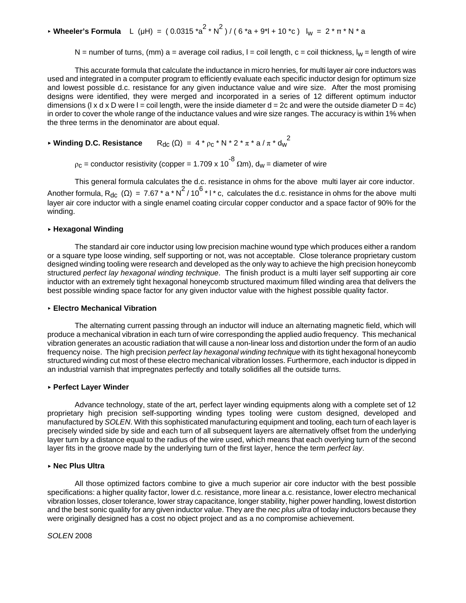# ► **Wheeler's Formula** L (µH) = (0.0315  $^*a^2 \cdot N^2$ ) / (6  $^*a + 9^*l + 10 \cdot ^*c$ ) l<sub>w</sub> = 2  $^* \pi \cdot N \cdot a$

N = number of turns, (mm) a = average coil radius,  $I = coil$  length, c = coil thickness,  $I_w$  = length of wire

This accurate formula that calculate the inductance in micro henries, for multi layer air core inductors was used and integrated in a computer program to efficiently evaluate each specific inductor design for optimum size and lowest possible d.c. resistance for any given inductance value and wire size. After the most promising designs were identified, they were merged and incorporated in a series of 12 different optimum inductor dimensions (I x d x D were I = coil length, were the inside diameter  $d = 2c$  and were the outside diameter  $D = 4c$ ) in order to cover the whole range of the inductance values and wire size ranges. The accuracy is within 1% when the three terms in the denominator are about equal.

 $\blacktriangleright$  Winding D.C. Resistance  $R_{dc}(\Omega) = 4 * ρ_c * N * 2 * π * a / π * d_w^2$ 

 $\rho_c$  = conductor resistivity (copper = 1.709 x 10<sup>-8</sup>  $\Omega$ m), d<sub>w</sub> = diameter of wire

This general formula calculates the d.c. resistance in ohms for the above multi layer air core inductor. Another formula, R<sub>dc</sub> ( $\Omega$ ) = 7.67 \* a \* N<sup>2</sup> / 10<sup>6</sup> \* l \* c, calculates the d.c. resistance in ohms for the above multi layer air core inductor with a single enamel coating circular copper conductor and a space factor of 90% for the winding.

#### < **Hexagonal Winding**

The standard air core inductor using low precision machine wound type which produces either a random or a square type loose winding, self supporting or not, was not acceptable. Close tolerance proprietary custom designed winding tooling were research and developed as the only way to achieve the high precision honeycomb structured *perfect lay hexagonal winding technique*. The finish product is a multi layer self supporting air core inductor with an extremely tight hexagonal honeycomb structured maximum filled winding area that delivers the best possible winding space factor for any given inductor value with the highest possible quality factor.

#### < **Electro Mechanical Vibration**

The alternating current passing through an inductor will induce an alternating magnetic field, which will produce a mechanical vibration in each turn of wire corresponding the applied audio frequency. This mechanical vibration generates an acoustic radiation that will cause a non-linear loss and distortion under the form of an audio frequency noise. The high precision *perfect lay hexagonal winding technique* with its tight hexagonal honeycomb structured winding cut most of these electro mechanical vibration losses. Furthermore, each inductor is dipped in an industrial varnish that impregnates perfectly and totally solidifies all the outside turns.

# < **Perfect Layer Winder**

Advance technology, state of the art, perfect layer winding equipments along with a complete set of 12 proprietary high precision self-supporting winding types tooling were custom designed, developed and manufactured by *SOLEN*. With this sophisticated manufacturing equipment and tooling, each turn of each layer is precisely winded side by side and each turn of all subsequent layers are alternatively offset from the underlying layer turn by a distance equal to the radius of the wire used, which means that each overlying turn of the second layer fits in the groove made by the underlying turn of the first layer, hence the term *perfect lay*.

# < **Nec Plus Ultra**

All those optimized factors combine to give a much superior air core inductor with the best possible specifications: a higher quality factor, lower d.c. resistance, more linear a.c. resistance, lower electro mechanical vibration losses, closer tolerance, lower stray capacitance, longer stability, higher power handling, lowest distortion and the best sonic quality for any given inductor value. They are the *nec plus ultra* of today inductors because they were originally designed has a cost no object project and as a no compromise achievement.

#### *SOLEN* 2008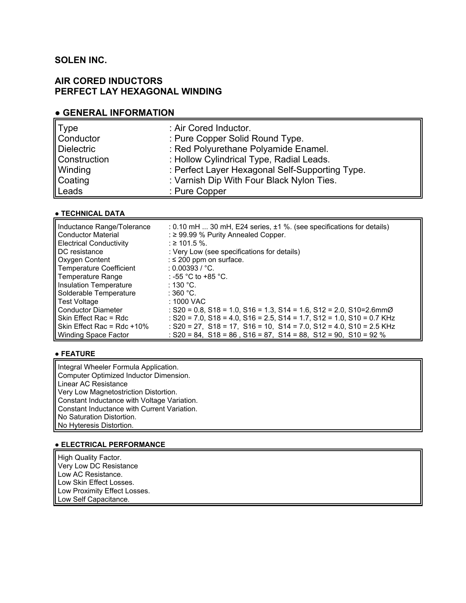# **SOLEN INC.**

# **AIR CORED INDUCTORS PERFECT LAY HEXAGONAL WINDING**

# **● GENERAL INFORMATION**

| <b>Type</b>       | : Air Cored Inductor.                           |
|-------------------|-------------------------------------------------|
| Conductor         | : Pure Copper Solid Round Type.                 |
| <b>Dielectric</b> | : Red Polyurethane Polyamide Enamel.            |
| Construction      | : Hollow Cylindrical Type, Radial Leads.        |
| Winding           | : Perfect Layer Hexagonal Self-Supporting Type. |
| Coating           | : Varnish Dip With Four Black Nylon Ties.       |
| Leads             | : Pure Copper                                   |

# ● **TECHNICAL DATA**

| Inductance Range/Tolerance<br><b>Conductor Material</b> | $: 0.10$ mH $$ 30 mH, E24 series, $\pm 1$ %. (see specifications for details)<br>: $\geq$ 99.99 % Purity Annealed Copper. |
|---------------------------------------------------------|---------------------------------------------------------------------------------------------------------------------------|
| <b>Electrical Conductivity</b>                          | : ≥ 101.5 %.                                                                                                              |
| <b>DC</b> resistance                                    | : Very Low (see specifications for details)                                                                               |
| <b>Oxygen Content</b>                                   | : $\leq$ 200 ppm on surface.                                                                                              |
| Temperature Coefficient                                 | : 0.00393 / °C.                                                                                                           |
| Temperature Range                                       | : -55 °C to +85 °C.                                                                                                       |
| Insulation Temperature                                  | ∶ 130 °C.                                                                                                                 |
| Solderable Temperature                                  | $\therefore$ 360 °C.                                                                                                      |
| Test Voltage                                            | $: 1000$ VAC                                                                                                              |
| <b>Conductor Diameter</b>                               | : S20 = 0.8, S18 = 1.0, S16 = 1.3, S14 = 1.6, S12 = 2.0, S10=2.6mm $\varnothing$                                          |
| Skin Effect Rac = Rdc                                   | : $S20 = 7.0$ , $S18 = 4.0$ , $S16 = 2.5$ , $S14 = 1.7$ , $S12 = 1.0$ , $S10 = 0.7$ KHz                                   |
| Skin Effect Rac = $Rdc + 10%$                           | : $S20 = 27$ , $S18 = 17$ , $S16 = 10$ , $S14 = 7.0$ , $S12 = 4.0$ , $S10 = 2.5$ KHz                                      |
| <b>Winding Space Factor</b>                             | $:$ S20 = 84, S18 = 86, S16 = 87, S14 = 88, S12 = 90, S10 = 92 %                                                          |

# **● FEATURE**

Integral Wheeler Formula Application. Computer Optimized Inductor Dimension. Linear AC Resistance Very Low Magnetostriction Distortion. Constant Inductance with Voltage Variation. Constant Inductance with Current Variation. No Saturation Distortion. No Hyteresis Distortion.

# **● ELECTRICAL PERFORMANCE**

High Quality Factor. Very Low DC Resistance Low AC Resistance. Low Skin Effect Losses. Low Proximity Effect Losses. Low Self Capacitance.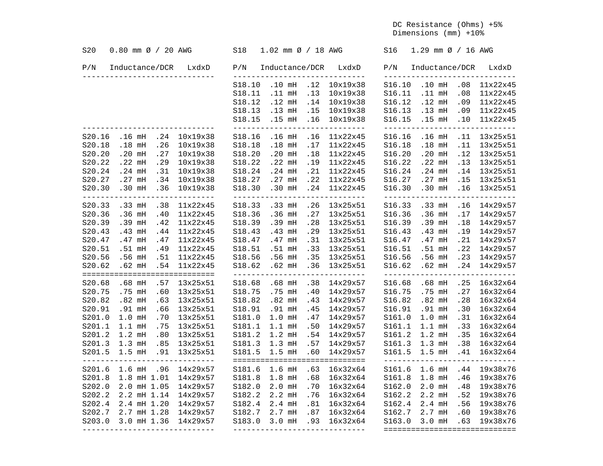DC Resistance (Ohms) +5% Dimensions (mm) +10%

| P/N<br>LxdxD<br>P/N<br>Inductance/DCR<br>LxdxD<br>Inductance/DCR<br>P/N<br>Inductance/DCR LxdxD<br>------------<br>-------------<br>10x19x38<br>S16.10 .10 mH<br>S18.10<br>.10 <sub>mH</sub><br>.12<br>.08<br>S18.11<br>$.11$ mH<br>.13<br>10x19x38<br>S16.11<br>$.11$ mH<br>.08 | 11x22x45<br>11x22x45<br>11x22x45<br>11x22x45<br>11x22x45<br>13x25x51 |
|----------------------------------------------------------------------------------------------------------------------------------------------------------------------------------------------------------------------------------------------------------------------------------|----------------------------------------------------------------------|
|                                                                                                                                                                                                                                                                                  |                                                                      |
|                                                                                                                                                                                                                                                                                  |                                                                      |
|                                                                                                                                                                                                                                                                                  |                                                                      |
| S18.12<br>$.12$ mH<br>.14<br>10x19x38<br>S16.12<br>$.12$ mH<br>.09                                                                                                                                                                                                               |                                                                      |
| S16.13 .13 mH<br>S18.13<br>.13 <sub>mH</sub><br>.15<br>10x19x38<br>.09                                                                                                                                                                                                           |                                                                      |
| S16.15 .15 mH<br>S18.15<br>.15 mH .16<br>10x19x38<br>.10<br>_______________________________<br>_______________<br>______________<br>-------------------------                                                                                                                    |                                                                      |
| S18.16<br>$.16$ mH<br>.16<br>11x22x45<br>S16.16<br>$.16$ mH<br>.11<br>.24<br>10x19x38<br>S20.16<br>.16 <sub>mH</sub>                                                                                                                                                             |                                                                      |
| S20.18<br>$.18$ mH<br>.26<br>10x19x38<br>S18.18<br>$.18$ mH<br>.17<br>11x22x45<br>S16.18<br>$.18$ mH<br>.11                                                                                                                                                                      | 13x25x51                                                             |
| .27<br>S20.20<br>S18.20<br>$.20$ mH<br>.18<br>S16.20<br>$.20$ mH<br>.12<br>.20 <sub>mH</sub><br>10x19x38<br>11x22x45                                                                                                                                                             | 13x25x51                                                             |
| S20.22<br>$.22$ mH<br>.29<br>S18.22<br>$.22$ mH<br>.19<br>S16.22<br>$.22$ mH<br>.13<br>10x19x38<br>11x22x45                                                                                                                                                                      | 13x25x51                                                             |
| S20.24<br>$.24$ mH<br>.31<br>S18.24<br>$.24$ mH<br>.21<br>S16.24<br>$.24$ mH<br>.14<br>10x19x38<br>11x22x45                                                                                                                                                                      | 13x25x51                                                             |
| S16.27<br>S20.27<br>.27 <sub>mH</sub><br>.34<br>S18.27<br>$.27$ mH<br>.22<br>11x22x45<br>$.27$ mH<br>.15<br>10x19x38                                                                                                                                                             | 13x25x51                                                             |
| .24<br>$.30$ mH<br>S20.30<br>.30 <sub>mH</sub><br>.36<br>10x19x38<br>S18.30<br>.30 <sub>mH</sub><br>S16.30<br>.16<br>11x22x45<br>-----------<br>---------<br>-----------<br>___________<br>---------------<br>---------<br>$- - - - -$                                           | 13x25x51<br>---------                                                |
| S20.33<br>11x22x45<br>S18.33<br>.26<br>13x25x51<br>S16.33<br>$.33$ mH<br>$.33$ mH<br>.38<br>$.33$ mH<br>.16                                                                                                                                                                      | 14x29x57                                                             |
| S20.36<br>S18.36<br>.27<br>$.36$ mH<br>.36 <sub>mH</sub><br>.40<br>11x22x45<br>.36 <sub>mH</sub><br>13x25x51<br>S16.36<br>.17                                                                                                                                                    | 14x29x57                                                             |
| .28<br>$.18$<br>S20.39<br>.39 mH<br>.42<br>S18.39<br>.39 mH<br>S16.39<br>$.39$ mH<br>11x22x45<br>13x25x51                                                                                                                                                                        | 14x29x57                                                             |
| S20.43<br>.43 mH<br>.44<br>S18.43<br>$.43$ mH<br>.29<br>S16.43<br>$.43$ mH<br>.19<br>11x22x45<br>13x25x51                                                                                                                                                                        | 14x29x57                                                             |
| .47<br>S18.47<br>$.47$ mH<br>.31<br>$.47$ mH<br>.21<br>S20.47<br>$.47$ mH<br>11x22x45<br>13x25x51<br>S16.47                                                                                                                                                                      | 14x29x57                                                             |
| .33<br>.22<br>S20.51<br>.51 <sub>mH</sub><br>.49<br>S18.51<br>$.51$ mH<br>S16.51<br>$.51$ mH<br>11x22x45<br>13x25x51                                                                                                                                                             | 14x29x57                                                             |
| S20.56<br>.51<br>S18.56<br>$.56$ mH<br>$.56$ mH<br>.23<br>.56 mH<br>11x22x45<br>.35<br>13x25x51<br>S16.56                                                                                                                                                                        | 14x29x57                                                             |
| S16.62 .62 mH<br>.24 14x29x57<br>S20.62<br>.62 mH<br>.54<br>S18.62<br>.62 mH .36<br>13x25x51<br>11x22x45<br>------------------------------<br>------------------------------<br>===============================                                                                  |                                                                      |
| S20.68<br>$.68$ mH<br>.57<br>13x25x51<br>S18.68<br>$.68$ mH<br>.38<br>14x29x57<br>S16.68<br>$.68$ mH<br>.25                                                                                                                                                                      | 16x32x64                                                             |
| S18.75<br>S16.75<br>.27<br>S20.75<br>.75 mH<br>.60<br>13x25x51<br>.75 mH<br>.40<br>14x29x57<br>.75 mH                                                                                                                                                                            | 16x32x64                                                             |
| $.82$ mH<br>$.82$ mH<br>.28<br>S20.82<br>$.82$ mH<br>.63<br>13x25x51<br>S18.82<br>.43<br>14x29x57<br>S16.82                                                                                                                                                                      | 16x32x64                                                             |
| .45<br>S20.91<br>.91 mH<br>.66<br>13x25x51<br>S18.91<br>.91 mH<br>14x29x57<br>S16.91<br>.91 mH<br>.30                                                                                                                                                                            | 16x32x64                                                             |
| .70<br>S181.0<br>$1.0$ mH<br>.47<br>S161.0<br>$1.0$ mH<br>.31<br>S201.0<br>$1.0$ mH<br>13x25x51<br>14x29x57                                                                                                                                                                      | 16x32x64                                                             |
| $1.1$ mH<br>S181.1<br>.50<br>S161.1<br>.33<br>S201.1<br>.75<br>13x25x51<br>$1.1$ mH<br>14x29x57<br>$1.1$ mH                                                                                                                                                                      | 16x32x64                                                             |
| S201.2<br>$1.2$ mH<br>.80<br>S181.2<br>$1.2$ mH<br>.54<br>S161.2<br>$1.2$ mH<br>.35<br>13x25x51<br>14x29x57                                                                                                                                                                      | 16x32x64                                                             |
| S161.3 1.3 mH<br>.38<br>S201.3<br>$1.3$ mH<br>.85<br>13x25x51<br>S181.3<br>$1.3$ mH<br>.57<br>14x29x57                                                                                                                                                                           | 16x32x64                                                             |
| S201.5<br>1.5 mH .91<br>13x25x51<br>S181.5<br>.60<br>S161.5 1.5 mH<br>.41<br>$1.5$ mH<br>14x29x57                                                                                                                                                                                | 16x32x64                                                             |
| ==============================<br>------<br>$- - - - -$<br>___________<br>$- - - -$                                                                                                                                                                                              |                                                                      |
| S181.6<br>$1.6$ mH<br>S201.6<br>$1.6$ mH<br>.96<br>14x29x57<br>.63<br>16x32x64<br>S161.6<br>$1.6$ mH<br>.44                                                                                                                                                                      | 19x38x76                                                             |
| S181.8<br>$1.8$ mH<br>S161.8<br>S201.8<br>1.8 mH 1.01<br>14x29x57<br>.68<br>16x32x64<br>$1.8$ mH<br>.46                                                                                                                                                                          | 19x38x76                                                             |
| S202.0<br>$2.0$ mH $1.05$<br>S182.0<br>$2.0$ mH<br>.70<br>S162.0<br>$2.0$ mH<br>14x29x57<br>16x32x64<br>.48                                                                                                                                                                      | 19x38x76                                                             |
| S202.2<br>2.2 mH 1.14<br>S182.2<br>2.2 mH<br>.76<br>S162.2<br>$2.2$ mH<br>.52<br>14x29x57<br>16x32x64                                                                                                                                                                            | 19x38x76                                                             |
| S202.4<br>S182.4<br>S162.4<br>$2.4$ mH $1.20$<br>14x29x57<br>$2.4$ mH<br>.81<br>16x32x64<br>$2.4$ mH<br>.56                                                                                                                                                                      | 19x38x76                                                             |
| S202.7<br>2.7 mH 1.28<br>S182.7<br>.87<br>S162.7<br>14x29x57<br>2.7 mH<br>16x32x64<br>$2.7$ mH<br>.60                                                                                                                                                                            | 19x38x76                                                             |
| S203.0<br>S183.0<br>3.0 mH .93<br>S163.0<br>$3.0$ mH<br>.63<br>3.0 mH 1.36<br>14x29x57<br>16x32x64<br>------------------------------<br>------------------------------<br>==============================                                                                         | 19x38x76                                                             |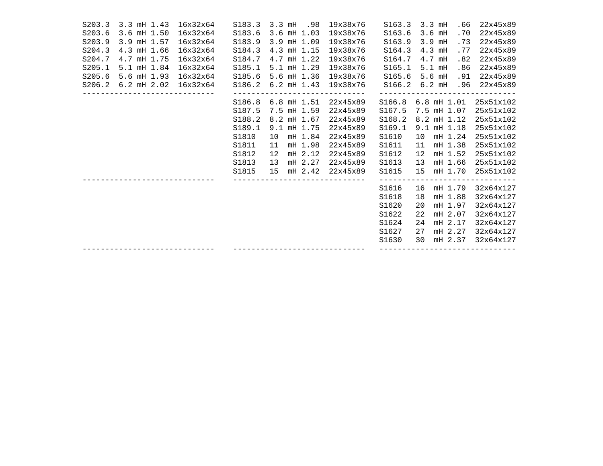| S203.3 | 3.3 mH 1.43                 | 16x32x64       | S183.3          | $3.3$ mH | .98                | 19x38x76                      | S163.3                               |    | $3.3$ mH | .66             | 22x45x89                       |
|--------|-----------------------------|----------------|-----------------|----------|--------------------|-------------------------------|--------------------------------------|----|----------|-----------------|--------------------------------|
| S203.6 | 3.6 mH 1.50                 | 16x32x64       | S183.6          |          | $3.6$ mH $1.03$    | 19x38x76                      | S163.6                               |    | $3.6$ mH | .70             | 22x45x89                       |
| S203.9 | 3.9 mH 1.57                 | 16x32x64       | S183.9          |          | 3.9 mH 1.09        | 19x38x76                      | S163.9                               |    | $3.9$ mH | .73             | 22x45x89                       |
| S204.3 | 4.3 mH 1.66                 | 16x32x64       | S184.3          |          | 4.3 mH 1.15        | 19x38x76                      | S164.3                               |    | $4.3$ mH | .77             | 22x45x89                       |
| S204.7 | 4.7 mH 1.75                 | 16x32x64       | S184.7          |          | 4.7 mH 1.22        | 19x38x76                      | S164.7                               |    | $4.7$ mH | .82             | 22x45x89                       |
| S205.1 | 5.1 mH 1.84                 | 16x32x64       | S185.1          |          | $5.1$ mH $1.29$    | 19x38x76                      | S165.1                               |    | $5.1$ mH | .86             | 22x45x89                       |
| S205.6 | $5.6$ mH $1.93$             | 16x32x64       | S185.6          |          | 5.6 mH 1.36        | 19x38x76                      | S165.6                               |    | $5.6$ mH | .91             | 22x45x89                       |
|        | S206.2 6.2 mH 2.02 16x32x64 |                |                 |          |                    | S186.2 6.2 mH 1.43 19x38x76   |                                      |    |          |                 | S166.2 6.2 mH .96 22x45x89     |
|        |                             | ______________ |                 |          | S186.8 6.8 mH 1.51 | 22x45x89                      | S166.8 6.8 mH 1.01                   |    |          |                 | 25x51x102                      |
|        |                             |                | S187.5          |          | 7.5 mH 1.59        | 22x45x89                      | S167.5 7.5 mH 1.07                   |    |          |                 | 25x51x102                      |
|        |                             |                | S188.2          |          | 8.2 mH 1.67        | 22x45x89                      | S168.2                               |    |          | 8.2 mH 1.12     | 25x51x102                      |
|        |                             |                | S189.1          |          | $9.1$ mH $1.75$    | 22x45x89                      | S169.1                               |    |          | $9.1$ mH $1.18$ | 25x51x102                      |
|        |                             |                | S1810           | 10       | mH 1.84            | 22x45x89                      | S1610                                |    |          | 10 mH 1.24      | 25x51x102                      |
|        |                             |                | S1811           | 11       | mH 1.98            | 22x45x89                      | S1611                                | 11 |          | mH 1.38         | 25x51x102                      |
|        |                             |                | S1812           | 12       | mH 2.12            | 22x45x89                      | S1612                                | 12 |          | mH 1.52         | 25x51x102                      |
|        |                             |                | S1813           | 13       | mH 2.27            | 22x45x89                      | S1613                                | 13 |          | mH 1.66         | 25x51x102                      |
|        |                             |                | S1815           |          |                    | 15 mH 2.42 22x45x89           | S1615                                |    |          | 15 mH 1.70      | 25x51x102                      |
|        |                             |                | $- - - - - - -$ |          |                    | ----------                    | ---------------------------<br>S1616 | 16 |          | mH 1.79         | 32x64x127                      |
|        |                             |                |                 |          |                    |                               | S1618                                | 18 |          | mH 1.88         | 32x64x127                      |
|        |                             |                |                 |          |                    |                               | S1620                                | 20 |          | mH 1.97         | 32x64x127                      |
|        |                             |                |                 |          |                    |                               | S1622                                | 22 |          | mH 2.07         | 32x64x127                      |
|        |                             |                |                 |          |                    |                               | S1624                                | 24 |          | mH 2.17         | 32x64x127                      |
|        |                             |                |                 |          |                    |                               | S1627                                | 27 |          | mH 2.27         | 32x64x127                      |
|        |                             |                |                 |          |                    |                               | S1630                                | 30 |          | mH 2.37         | 32x64x127                      |
|        |                             |                |                 |          |                    | ----------------------------- |                                      |    |          |                 | ------------------------------ |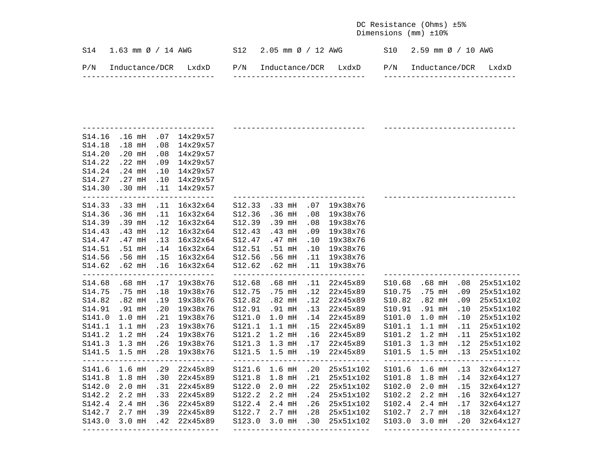DC Resistance (Ohms) ±5% Dimensions (mm) ±10%

|     | $S14$ 1.63 mm $\varnothing$ / 14 AWG |  | $S12$ 2.05 mm $\emptyset$ / 12 AWG |  | $S10$ 2.59 mm $\varnothing$ / 10 AWG |  |
|-----|--------------------------------------|--|------------------------------------|--|--------------------------------------|--|
| P/N | Inductance/DCR LxdxD                 |  | P/N Inductance/DCR LxdxD           |  | P/N Inductance/DCR LxdxD             |  |

|        |                   |             | S14.16 .16 mH .07 14x29x57           |                                        |                   |     |                                           |                   |                   |     |                                |
|--------|-------------------|-------------|--------------------------------------|----------------------------------------|-------------------|-----|-------------------------------------------|-------------------|-------------------|-----|--------------------------------|
|        | S14.18 .18 mH .08 |             | 14x29x57                             |                                        |                   |     |                                           |                   |                   |     |                                |
|        | S14.20 .20 mH     | .08         | 14x29x57                             |                                        |                   |     |                                           |                   |                   |     |                                |
| S14.22 | $.22$ mH          | .09         | 14x29x57                             |                                        |                   |     |                                           |                   |                   |     |                                |
| S14.24 | $.24$ mH          | .10         | 14x29x57                             |                                        |                   |     |                                           |                   |                   |     |                                |
|        | S14.27 .27 mH     | .10         | 14x29x57                             |                                        |                   |     |                                           |                   |                   |     |                                |
| S14.30 | $.30$ mH $.11$    |             | 14x29x57<br>------------------------ |                                        |                   |     |                                           |                   |                   |     |                                |
|        | S14.33 .33 mH     |             | .11 16x32x64                         | S12.33 .33 mH                          |                   | .07 | 19x38x76                                  |                   |                   |     |                                |
| S14.36 | .36 <sub>mH</sub> | $\ldots$ 11 | 16x32x64                             | S12.36                                 | .36 <sub>mH</sub> | .08 | 19x38x76                                  |                   |                   |     |                                |
| S14.39 | .39 mH            | .12         | 16x32x64                             | S12.39                                 | .39 mH            | .08 | 19x38x76                                  |                   |                   |     |                                |
| S14.43 | .43 mH            | .12         | 16x32x64                             | S12.43                                 | $.43$ mH          | .09 | 19x38x76                                  |                   |                   |     |                                |
| S14.47 | $.47$ mH $.13$    |             | 16x32x64                             | S12.47                                 | .47 mH            | .10 | 19x38x76                                  |                   |                   |     |                                |
| S14.51 | $.51$ mH $.14$    |             | 16x32x64                             | S12.51 .51 mH                          |                   | .10 | 19x38x76                                  |                   |                   |     |                                |
|        |                   |             | S14.56 .56 mH .15 16x32x64           | S12.56 .56 mH                          |                   |     | .11 19x38x76                              |                   |                   |     |                                |
|        |                   |             | S14.62 .62 mH .16 16x32x64           |                                        |                   |     | S12.62 .62 mH .11 19x38x76                |                   |                   |     |                                |
|        |                   |             |                                      |                                        |                   |     | ______________________________            |                   |                   |     |                                |
|        |                   |             | S14.68 .68 mH .17 19x38x76           |                                        |                   |     | S12.68 .68 mH .11 22x45x89                |                   | S10.68 .68 mH     | .08 | 25x51x102                      |
|        | S14.75 .75 mH .18 |             | 19x38x76                             | S12.75 .75 mH                          |                   |     | .12  22x45x89  S10.75  .75  mH            |                   |                   | .09 | 25x51x102                      |
| S14.82 | .82 <sub>mH</sub> | .19         | 19x38x76                             | S12.82                                 | $.82$ mH          | .12 | 22x45x89                                  |                   | S10.82 .82 mH     | .09 | 25x51x102                      |
| S14.91 | .91 mH            | .20         | 19x38x76                             | S12.91 .91 mH                          |                   | .13 | 22x45x89                                  |                   | S10.91 .91 mH     | .10 | 25x51x102                      |
| S141.0 | $1.0$ mH          | .21         | 19x38x76                             | S121.0 1.0 mH                          |                   | .14 | 22x45x89                                  |                   | S101.0 1.0 mH     | .10 | 25x51x102                      |
| S141.1 | $1.1$ mH          | .23         | 19x38x76                             | S121.1 1.1 mH                          |                   | .15 | 22x45x89                                  |                   | S101.1 1.1 mH .11 |     | 25x51x102                      |
| S141.2 | $1.2$ mH          | .24         | 19x38x76                             | S121.2 1.2 mH<br>S121.3 1.3 mH         |                   |     | .16 22x45x89                              | S101.2 1.2 mH .11 |                   |     | 25x51x102                      |
|        | S141.3 1.3 mH .26 |             | 19x38x76                             |                                        |                   |     | .17  22x45x89  S101.3  1.3 mH  .12        |                   |                   |     | 25x51x102                      |
|        | S141.5 1.5 mH .28 |             | 19x38x76                             |                                        |                   |     | S121.5 1.5 mH .19 22x45x89                | S101.5 1.5 mH .13 |                   |     | 25x51x102                      |
|        | S141.6 1.6 mH     | .29         | 22x45x89                             |                                        | S121.6 1.6 mH     |     | $.20$ $25x51x102$                         |                   | S101.6 1.6 mH .13 |     | 32x64x127                      |
| S141.8 | $1.8$ mH          | .30         | 22x45x89                             | S121.8 1.8 mH                          |                   |     | .21 25x51x102                             |                   | S101.8 1.8 mH     | .14 | 32x64x127                      |
| S142.0 | $2.0$ mH          | .31         | 22x45x89                             | S122.0 2.0 mH                          |                   | .22 | 25x51x102                                 |                   | S102.0 2.0 mH     | .15 | 32x64x127                      |
| S142.2 | 2.2 mH .33        |             | 22x45x89                             | S122.2 2.2 mH                          |                   |     | .24 25x51x102                             |                   | S102.2 2.2 mH     | .16 | 32x64x127                      |
| S142.4 | 2.4 mH .36        |             | 22x45x89                             | S122.4 2.4 mH                          |                   |     | .26 25x51x102 S102.4 2.4 mH .17           |                   |                   |     | 32x64x127                      |
|        |                   |             | S142.7 2.7 mH .39 22x45x89           | S122.7 2.7 mH .28<br>S123.0 3.0 mH .30 |                   |     | .28 25x51x102 S102.7 2.7 mH .18 32x64x127 |                   |                   |     |                                |
| S143.0 |                   |             | $3.0$ mH $.42$ $22x45x89$            |                                        |                   |     | 25x51x102 S103.0 3.0 mH                   |                   |                   | .20 | 32x64x127                      |
|        |                   |             | -------------------------------      |                                        |                   |     | ________________________________          |                   |                   |     | ------------------------------ |